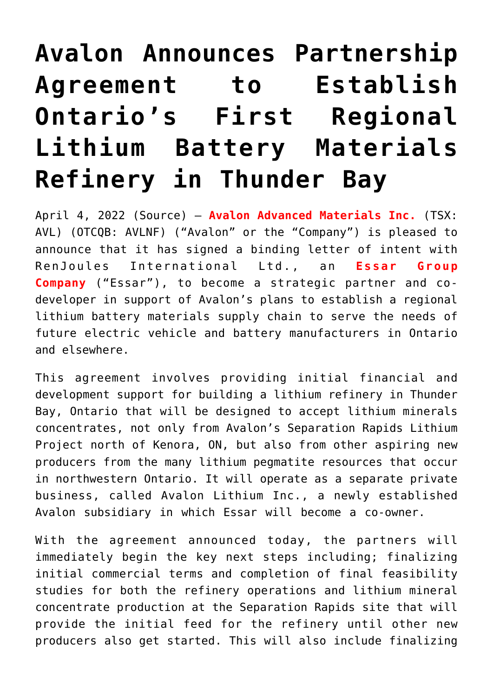## **[Avalon Announces Partnership](https://investorintel.com/markets/technology-metals/technology-metals-news/avalon-announces-partnership-agreement-to-establish-ontarios-first-regional-lithium-battery-materials-refinery-in-thunder-bay/) [Agreement to Establish](https://investorintel.com/markets/technology-metals/technology-metals-news/avalon-announces-partnership-agreement-to-establish-ontarios-first-regional-lithium-battery-materials-refinery-in-thunder-bay/) [Ontario's First Regional](https://investorintel.com/markets/technology-metals/technology-metals-news/avalon-announces-partnership-agreement-to-establish-ontarios-first-regional-lithium-battery-materials-refinery-in-thunder-bay/) [Lithium Battery Materials](https://investorintel.com/markets/technology-metals/technology-metals-news/avalon-announces-partnership-agreement-to-establish-ontarios-first-regional-lithium-battery-materials-refinery-in-thunder-bay/) [Refinery in Thunder Bay](https://investorintel.com/markets/technology-metals/technology-metals-news/avalon-announces-partnership-agreement-to-establish-ontarios-first-regional-lithium-battery-materials-refinery-in-thunder-bay/)**

April 4, 2022 [\(Source](https://www.newsfilecorp.com/release/119161/Avalon-Announces-Partnership-Agreement-to-Establish-Ontarios-First-Regional-Lithium-Battery-Materials-Refinery-in-Thunder-Bay)) – **[Avalon Advanced Materials Inc.](https://www.newsfilecorp.com/redirect/0KmNMsoEnb)** (TSX: AVL) (OTCQB: AVLNF) ("Avalon" or the "Company") is pleased to announce that it has signed a binding letter of intent with RenJoules International Ltd., an **Essar Group Company** ("Essar"), to become a strategic partner and codeveloper in support of Avalon's plans to establish a regional lithium battery materials supply chain to serve the needs of future electric vehicle and battery manufacturers in Ontario and elsewhere.

This agreement involves providing initial financial and development support for building a lithium refinery in Thunder Bay, Ontario that will be designed to accept lithium minerals concentrates, not only from Avalon's Separation Rapids Lithium Project north of Kenora, ON, but also from other aspiring new producers from the many lithium pegmatite resources that occur in northwestern Ontario. It will operate as a separate private business, called Avalon Lithium Inc., a newly established Avalon subsidiary in which Essar will become a co-owner.

With the agreement announced today, the partners will immediately begin the key next steps including; finalizing initial commercial terms and completion of final feasibility studies for both the refinery operations and lithium mineral concentrate production at the Separation Rapids site that will provide the initial feed for the refinery until other new producers also get started. This will also include finalizing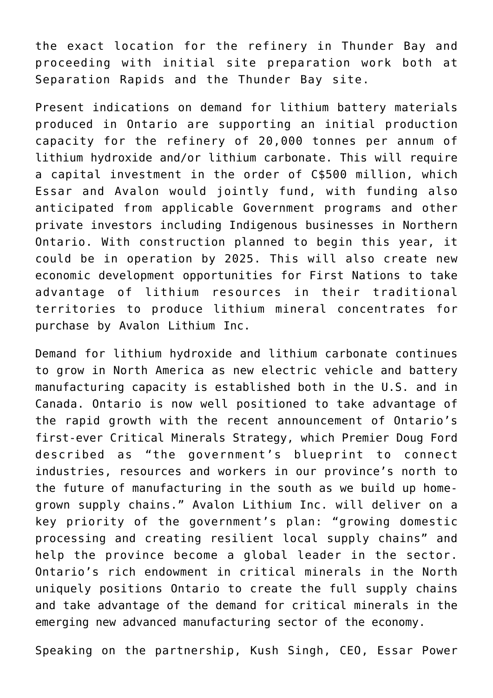the exact location for the refinery in Thunder Bay and proceeding with initial site preparation work both at Separation Rapids and the Thunder Bay site.

Present indications on demand for lithium battery materials produced in Ontario are supporting an initial production capacity for the refinery of 20,000 tonnes per annum of lithium hydroxide and/or lithium carbonate. This will require a capital investment in the order of C\$500 million, which Essar and Avalon would jointly fund, with funding also anticipated from applicable Government programs and other private investors including Indigenous businesses in Northern Ontario. With construction planned to begin this year, it could be in operation by 2025. This will also create new economic development opportunities for First Nations to take advantage of lithium resources in their traditional territories to produce lithium mineral concentrates for purchase by Avalon Lithium Inc.

Demand for lithium hydroxide and lithium carbonate continues to grow in North America as new electric vehicle and battery manufacturing capacity is established both in the U.S. and in Canada. Ontario is now well positioned to take advantage of the rapid growth with the recent announcement of Ontario's first-ever Critical Minerals Strategy, which Premier Doug Ford described as "the government's blueprint to connect industries, resources and workers in our province's north to the future of manufacturing in the south as we build up homegrown supply chains." Avalon Lithium Inc. will deliver on a key priority of the government's plan: "growing domestic processing and creating resilient local supply chains" and help the province become a global leader in the sector. Ontario's rich endowment in critical minerals in the North uniquely positions Ontario to create the full supply chains and take advantage of the demand for critical minerals in the emerging new advanced manufacturing sector of the economy.

Speaking on the partnership, Kush Singh, CEO, Essar Power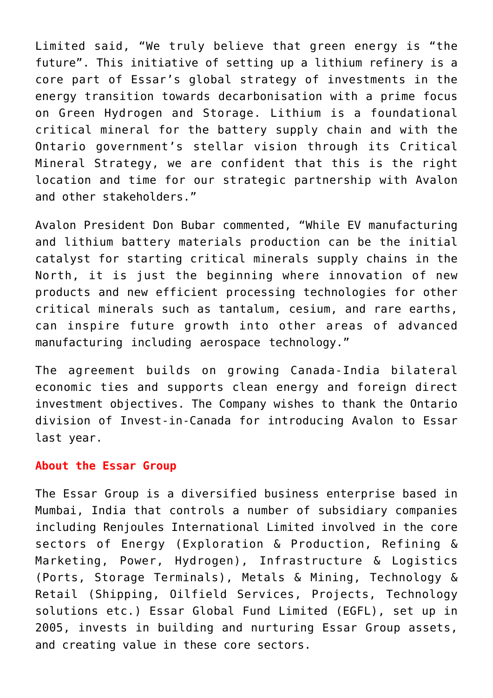Limited said, "We truly believe that green energy is "the future". This initiative of setting up a lithium refinery is a core part of Essar's global strategy of investments in the energy transition towards decarbonisation with a prime focus on Green Hydrogen and Storage. Lithium is a foundational critical mineral for the battery supply chain and with the Ontario government's stellar vision through its Critical Mineral Strategy, we are confident that this is the right location and time for our strategic partnership with Avalon and other stakeholders."

Avalon President Don Bubar commented, "While EV manufacturing and lithium battery materials production can be the initial catalyst for starting critical minerals supply chains in the North, it is just the beginning where innovation of new products and new efficient processing technologies for other critical minerals such as tantalum, cesium, and rare earths, can inspire future growth into other areas of advanced manufacturing including aerospace technology."

The agreement builds on growing Canada-India bilateral economic ties and supports clean energy and foreign direct investment objectives. The Company wishes to thank the Ontario division of Invest-in-Canada for introducing Avalon to Essar last year.

## **About the Essar Group**

The Essar Group is a diversified business enterprise based in Mumbai, India that controls a number of subsidiary companies including Renjoules International Limited involved in the core sectors of Energy (Exploration & Production, Refining & Marketing, Power, Hydrogen), Infrastructure & Logistics (Ports, Storage Terminals), Metals & Mining, Technology & Retail (Shipping, Oilfield Services, Projects, Technology solutions etc.) Essar Global Fund Limited (EGFL), set up in 2005, invests in building and nurturing Essar Group assets, and creating value in these core sectors.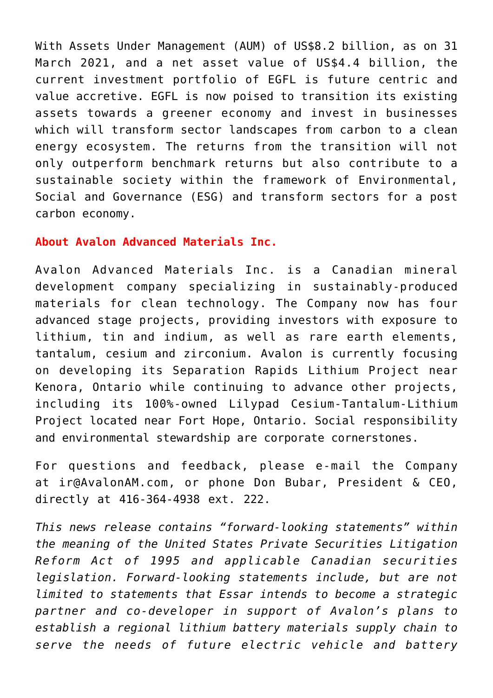With Assets Under Management (AUM) of US\$8.2 billion, as on 31 March 2021, and a net asset value of US\$4.4 billion, the current investment portfolio of EGFL is future centric and value accretive. EGFL is now poised to transition its existing assets towards a greener economy and invest in businesses which will transform sector landscapes from carbon to a clean energy ecosystem. The returns from the transition will not only outperform benchmark returns but also contribute to a sustainable society within the framework of Environmental, Social and Governance (ESG) and transform sectors for a post carbon economy.

## **About Avalon Advanced Materials Inc.**

Avalon Advanced Materials Inc. is a Canadian mineral development company specializing in sustainably-produced materials for clean technology. The Company now has four advanced stage projects, providing investors with exposure to lithium, tin and indium, as well as rare earth elements, tantalum, cesium and zirconium. Avalon is currently focusing on developing its Separation Rapids Lithium Project near Kenora, Ontario while continuing to advance other projects, including its 100%-owned Lilypad Cesium-Tantalum-Lithium Project located near Fort Hope, Ontario. Social responsibility and environmental stewardship are corporate cornerstones.

For questions and feedback, please e-mail the Company at [ir@AvalonAM.com,](mailto:ir@AvalonAM.com) or phone Don Bubar, President & CEO, directly at 416-364-4938 ext. 222.

*This news release contains "forward-looking statements" within the meaning of the United States Private Securities Litigation Reform Act of 1995 and applicable Canadian securities legislation. Forward-looking statements include, but are not limited to statements that Essar intends to become a strategic partner and co-developer in support of Avalon's plans to establish a regional lithium battery materials supply chain to serve the needs of future electric vehicle and battery*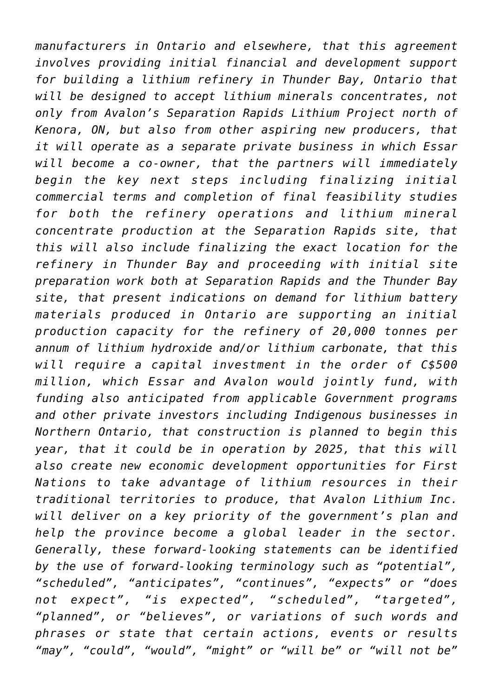*manufacturers in Ontario and elsewhere, that this agreement involves providing initial financial and development support for building a lithium refinery in Thunder Bay, Ontario that will be designed to accept lithium minerals concentrates, not only from Avalon's Separation Rapids Lithium Project north of Kenora, ON, but also from other aspiring new producers, that it will operate as a separate private business in which Essar will become a co-owner, that the partners will immediately begin the key next steps including finalizing initial commercial terms and completion of final feasibility studies for both the refinery operations and lithium mineral concentrate production at the Separation Rapids site, that this will also include finalizing the exact location for the refinery in Thunder Bay and proceeding with initial site preparation work both at Separation Rapids and the Thunder Bay site, that present indications on demand for lithium battery materials produced in Ontario are supporting an initial production capacity for the refinery of 20,000 tonnes per annum of lithium hydroxide and/or lithium carbonate, that this will require a capital investment in the order of C\$500 million, which Essar and Avalon would jointly fund, with funding also anticipated from applicable Government programs and other private investors including Indigenous businesses in Northern Ontario, that construction is planned to begin this year, that it could be in operation by 2025, that this will also create new economic development opportunities for First Nations to take advantage of lithium resources in their traditional territories to produce, that Avalon Lithium Inc. will deliver on a key priority of the government's plan and help the province become a global leader in the sector. Generally, these forward-looking statements can be identified by the use of forward-looking terminology such as "potential", "scheduled", "anticipates", "continues", "expects" or "does not expect", "is expected", "scheduled", "targeted", "planned", or "believes", or variations of such words and phrases or state that certain actions, events or results "may", "could", "would", "might" or "will be" or "will not be"*